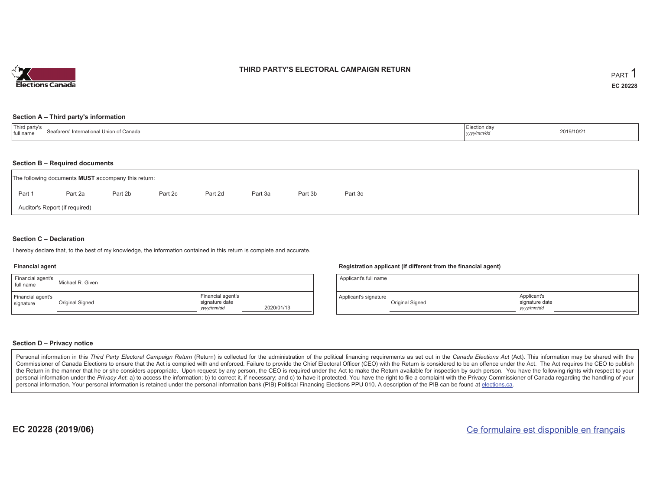

### **THIRD PARTY'S ELECTORAL CAMPAIGN RETURN**

#### **Section A – Third party's information**

| <b>Thir</b><br>Sestarere'<br>∵ International Union of Canada<br>еата<br>⊥full name | Election day<br>-------<br>уууулттлаг | 2019/10/21 |
|------------------------------------------------------------------------------------|---------------------------------------|------------|
|------------------------------------------------------------------------------------|---------------------------------------|------------|

#### **Section B – Required documents**

| The following documents <b>MUST</b> accompany this return: |         |         |         |         |         |         |         |  |  |  |  |
|------------------------------------------------------------|---------|---------|---------|---------|---------|---------|---------|--|--|--|--|
| Part 1                                                     | Part 2a | Part 2b | Part 2c | Part 2d | Part 3a | Part 3b | Part 3c |  |  |  |  |
| Auditor's Report (if required)                             |         |         |         |         |         |         |         |  |  |  |  |

### **Section C – Declaration**

I hereby declare that, to the best of my knowledge, the information contained in this return is complete and accurate.

#### **Financial agent**

| Financial agent's<br>full name | Michael R. Given |                                                   |            |
|--------------------------------|------------------|---------------------------------------------------|------------|
| Financial agent's<br>signature | Original Signed  | Financial agent's<br>signature date<br>yyyy/mm/dd | 2020/01/13 |

#### **Registration applicant (if different from the financial agent)**

| Applicant's full name |                 |                                            |  |
|-----------------------|-----------------|--------------------------------------------|--|
| Applicant's signature | Original Signed | Applicant's<br>signature date<br>vyy/mm/dd |  |

### **Section D – Privacy notice**

Personal information in this Third Party Electoral Campaign Return (Return) is collected for the administration of the political financing requirements as set out in the Canada Elections Act (Act). This information may be Commissioner of Canada Elections to ensure that the Act is complied with and enforced. Failure to provide the Chief Electoral Officer (CEO) with the Return is considered to be an offence under the Act. The Act requires the the Return in the manner that he or she considers appropriate. Upon request by any person, the CEO is required under the Act to make the Return available for inspection by such person. You have the following rights with re personal information under the Privacy Act: a) to access the information; b) to correct it, if necessary; and c) to have it protected. You have the right to file a complaint with the Privacy Commissioner of Canada regardin personal information. Your personal information is retained under the personal information bank (PIB) Political Financing Elections PPU 010. A description of the PIB can be found at elections.ca.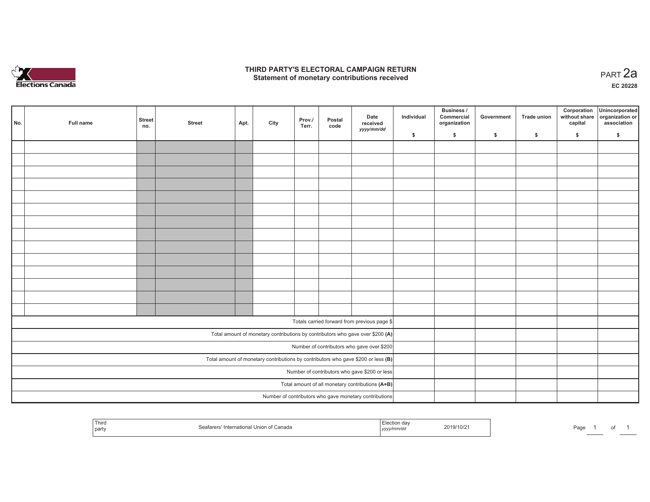

## **THIRD PARTY'S ELECTORAL CAMPAIGN RETURN HIRD PARTY'S ELECTORAL CAMPAIGN RETURN<br>Statement of monetary contributions received PART 2a**

**EC 20228**

|                                                                                     | No. | Full name | <b>Street</b><br>no. | <b>Street</b> | Apt. | City | Prov./<br>Terr. | Postal<br>code | Date<br>received<br>yyyy/mm/dd                                                 | Individual | <b>Business /</b><br>Commercial<br>organization | Government | Trade union  | Corporation<br>capital | Unincorporated<br>without share organization or<br>association |
|-------------------------------------------------------------------------------------|-----|-----------|----------------------|---------------|------|------|-----------------|----------------|--------------------------------------------------------------------------------|------------|-------------------------------------------------|------------|--------------|------------------------|----------------------------------------------------------------|
|                                                                                     |     |           |                      |               |      |      |                 |                |                                                                                | \$         | \$                                              | \$         | $\mathbf{s}$ | \$                     | \$                                                             |
|                                                                                     |     |           |                      |               |      |      |                 |                |                                                                                |            |                                                 |            |              |                        |                                                                |
|                                                                                     |     |           |                      |               |      |      |                 |                |                                                                                |            |                                                 |            |              |                        |                                                                |
|                                                                                     |     |           |                      |               |      |      |                 |                |                                                                                |            |                                                 |            |              |                        |                                                                |
|                                                                                     |     |           |                      |               |      |      |                 |                |                                                                                |            |                                                 |            |              |                        |                                                                |
|                                                                                     |     |           |                      |               |      |      |                 |                |                                                                                |            |                                                 |            |              |                        |                                                                |
|                                                                                     |     |           |                      |               |      |      |                 |                |                                                                                |            |                                                 |            |              |                        |                                                                |
|                                                                                     |     |           |                      |               |      |      |                 |                |                                                                                |            |                                                 |            |              |                        |                                                                |
|                                                                                     |     |           |                      |               |      |      |                 |                |                                                                                |            |                                                 |            |              |                        |                                                                |
|                                                                                     |     |           |                      |               |      |      |                 |                |                                                                                |            |                                                 |            |              |                        |                                                                |
|                                                                                     |     |           |                      |               |      |      |                 |                |                                                                                |            |                                                 |            |              |                        |                                                                |
|                                                                                     |     |           |                      |               |      |      |                 |                |                                                                                |            |                                                 |            |              |                        |                                                                |
|                                                                                     |     |           |                      |               |      |      |                 |                |                                                                                |            |                                                 |            |              |                        |                                                                |
|                                                                                     |     |           |                      |               |      |      |                 |                |                                                                                |            |                                                 |            |              |                        |                                                                |
|                                                                                     |     |           |                      |               |      |      |                 |                |                                                                                |            |                                                 |            |              |                        |                                                                |
|                                                                                     |     |           |                      |               |      |      |                 |                |                                                                                |            |                                                 |            |              |                        |                                                                |
|                                                                                     |     |           |                      |               |      |      |                 |                | Totals carried forward from previous page \$                                   |            |                                                 |            |              |                        |                                                                |
|                                                                                     |     |           |                      |               |      |      |                 |                | Total amount of monetary contributions by contributors who gave over \$200 (A) |            |                                                 |            |              |                        |                                                                |
|                                                                                     |     |           |                      |               |      |      |                 |                | Number of contributors who gave over \$200                                     |            |                                                 |            |              |                        |                                                                |
| Total amount of monetary contributions by contributors who gave \$200 or less $(B)$ |     |           |                      |               |      |      |                 |                |                                                                                |            |                                                 |            |              |                        |                                                                |
| Number of contributors who gave \$200 or less                                       |     |           |                      |               |      |      |                 |                |                                                                                |            |                                                 |            |              |                        |                                                                |
|                                                                                     |     |           |                      |               |      |      |                 |                | Total amount of all monetary contributions (A+B)                               |            |                                                 |            |              |                        |                                                                |
|                                                                                     |     |           |                      |               |      |      |                 |                | Number of contributors who gave monetary contributions                         |            |                                                 |            |              |                        |                                                                |

| Third<br>party | Seafarers' International Union of Canada | <b>Contract Contract Contract Contract</b><br>Election day<br>2019/10/2<br>yyyy/mm/dd | Page |
|----------------|------------------------------------------|---------------------------------------------------------------------------------------|------|
|----------------|------------------------------------------|---------------------------------------------------------------------------------------|------|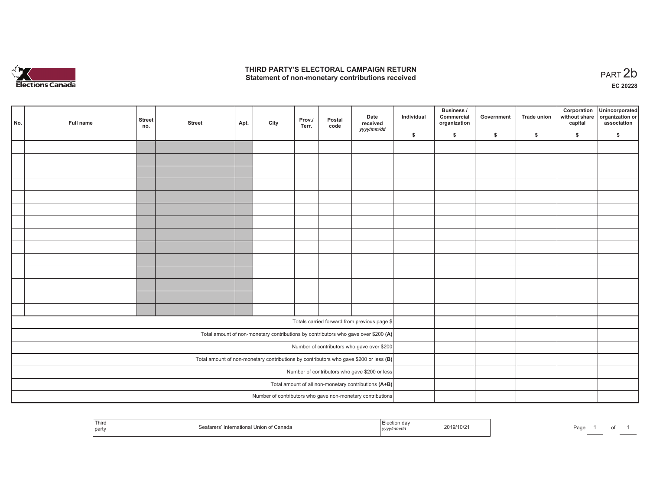

## **THIRD PARTY'S ELECTORAL CAMPAIGN RETURN**  THIRD PARTY'S ELECTORAL CAMPAIGN RETURN<br>Statement of non-monetary contributions received<br> **PART 2b**

of 1

|                                                                                       | No. | Full name | <b>Street</b><br>no. | <b>Street</b> | Apt. | City | Prov./<br>Terr. | Postal<br>code | Date<br>received<br>yyyy/mm/dd                                                     | Individual | <b>Business /</b><br>Commercial<br>organization | Government | Trade union | Corporation<br>capital | Unincorporated<br>without share organization or<br>association |
|---------------------------------------------------------------------------------------|-----|-----------|----------------------|---------------|------|------|-----------------|----------------|------------------------------------------------------------------------------------|------------|-------------------------------------------------|------------|-------------|------------------------|----------------------------------------------------------------|
|                                                                                       |     |           |                      |               |      |      |                 |                |                                                                                    | \$         | \$                                              | \$         | \$          | \$                     | \$                                                             |
|                                                                                       |     |           |                      |               |      |      |                 |                |                                                                                    |            |                                                 |            |             |                        |                                                                |
|                                                                                       |     |           |                      |               |      |      |                 |                |                                                                                    |            |                                                 |            |             |                        |                                                                |
|                                                                                       |     |           |                      |               |      |      |                 |                |                                                                                    |            |                                                 |            |             |                        |                                                                |
|                                                                                       |     |           |                      |               |      |      |                 |                |                                                                                    |            |                                                 |            |             |                        |                                                                |
|                                                                                       |     |           |                      |               |      |      |                 |                |                                                                                    |            |                                                 |            |             |                        |                                                                |
|                                                                                       |     |           |                      |               |      |      |                 |                |                                                                                    |            |                                                 |            |             |                        |                                                                |
|                                                                                       |     |           |                      |               |      |      |                 |                |                                                                                    |            |                                                 |            |             |                        |                                                                |
|                                                                                       |     |           |                      |               |      |      |                 |                |                                                                                    |            |                                                 |            |             |                        |                                                                |
|                                                                                       |     |           |                      |               |      |      |                 |                |                                                                                    |            |                                                 |            |             |                        |                                                                |
|                                                                                       |     |           |                      |               |      |      |                 |                |                                                                                    |            |                                                 |            |             |                        |                                                                |
|                                                                                       |     |           |                      |               |      |      |                 |                |                                                                                    |            |                                                 |            |             |                        |                                                                |
|                                                                                       |     |           |                      |               |      |      |                 |                |                                                                                    |            |                                                 |            |             |                        |                                                                |
|                                                                                       |     |           |                      |               |      |      |                 |                |                                                                                    |            |                                                 |            |             |                        |                                                                |
|                                                                                       |     |           |                      |               |      |      |                 |                |                                                                                    |            |                                                 |            |             |                        |                                                                |
|                                                                                       |     |           |                      |               |      |      |                 |                | Totals carried forward from previous page \$                                       |            |                                                 |            |             |                        |                                                                |
|                                                                                       |     |           |                      |               |      |      |                 |                |                                                                                    |            |                                                 |            |             |                        |                                                                |
|                                                                                       |     |           |                      |               |      |      |                 |                | Total amount of non-monetary contributions by contributors who gave over \$200 (A) |            |                                                 |            |             |                        |                                                                |
|                                                                                       |     |           |                      |               |      |      |                 |                | Number of contributors who gave over \$200                                         |            |                                                 |            |             |                        |                                                                |
| Total amount of non-monetary contributions by contributors who gave \$200 or less (B) |     |           |                      |               |      |      |                 |                |                                                                                    |            |                                                 |            |             |                        |                                                                |
|                                                                                       |     |           |                      |               |      |      |                 |                | Number of contributors who gave \$200 or less                                      |            |                                                 |            |             |                        |                                                                |
|                                                                                       |     |           |                      |               |      |      |                 |                | Total amount of all non-monetary contributions (A+B)                               |            |                                                 |            |             |                        |                                                                |
|                                                                                       |     |           |                      |               |      |      |                 |                | Number of contributors who gave non-monetary contributions                         |            |                                                 |            |             |                        |                                                                |

| <sup>1</sup> Thiro<br>part | ntern:<br>Canada<br>. | 9/10/2<br>ലഹ<br>$\sim$ 11 $\sim$<br>-au |
|----------------------------|-----------------------|-----------------------------------------|
|----------------------------|-----------------------|-----------------------------------------|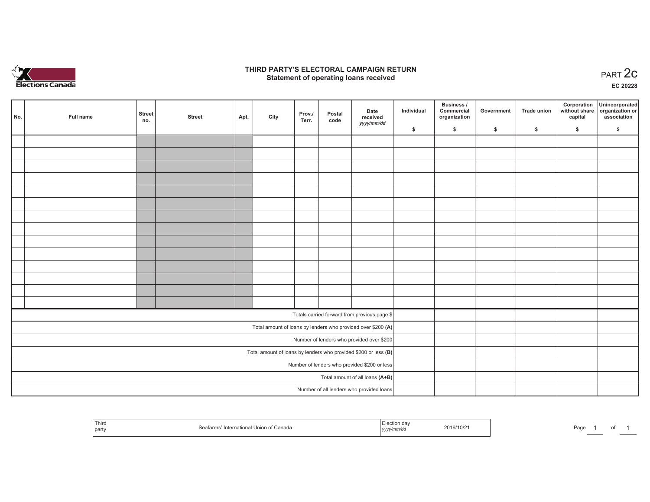

## **THIRD PARTY'S ELECTORAL CAMPAIGN RETURN STATE:** PARTY'S ELECTORAL CAMPAIGN RETURN<br>
Statement of operating loans received

**EC 20228**

|                                                                   | No. | Full name | <b>Street</b><br>no. | <b>Street</b> | Apt. | City | Prov./<br>Terr. | Postal<br>code | Date<br>received<br>yyyy/mm/dd                               | Individual | <b>Business /</b><br>Commercial<br>organization | Government | Trade union | capital | Corporation Unincorporated<br>without share organization or<br>association |
|-------------------------------------------------------------------|-----|-----------|----------------------|---------------|------|------|-----------------|----------------|--------------------------------------------------------------|------------|-------------------------------------------------|------------|-------------|---------|----------------------------------------------------------------------------|
|                                                                   |     |           |                      |               |      |      |                 |                |                                                              | \$         | \$                                              | \$         | $\sqrt{2}$  | \$      | \$                                                                         |
|                                                                   |     |           |                      |               |      |      |                 |                |                                                              |            |                                                 |            |             |         |                                                                            |
|                                                                   |     |           |                      |               |      |      |                 |                |                                                              |            |                                                 |            |             |         |                                                                            |
|                                                                   |     |           |                      |               |      |      |                 |                |                                                              |            |                                                 |            |             |         |                                                                            |
|                                                                   |     |           |                      |               |      |      |                 |                |                                                              |            |                                                 |            |             |         |                                                                            |
|                                                                   |     |           |                      |               |      |      |                 |                |                                                              |            |                                                 |            |             |         |                                                                            |
|                                                                   |     |           |                      |               |      |      |                 |                |                                                              |            |                                                 |            |             |         |                                                                            |
|                                                                   |     |           |                      |               |      |      |                 |                |                                                              |            |                                                 |            |             |         |                                                                            |
|                                                                   |     |           |                      |               |      |      |                 |                |                                                              |            |                                                 |            |             |         |                                                                            |
|                                                                   |     |           |                      |               |      |      |                 |                |                                                              |            |                                                 |            |             |         |                                                                            |
|                                                                   |     |           |                      |               |      |      |                 |                |                                                              |            |                                                 |            |             |         |                                                                            |
|                                                                   |     |           |                      |               |      |      |                 |                |                                                              |            |                                                 |            |             |         |                                                                            |
|                                                                   |     |           |                      |               |      |      |                 |                |                                                              |            |                                                 |            |             |         |                                                                            |
|                                                                   |     |           |                      |               |      |      |                 |                |                                                              |            |                                                 |            |             |         |                                                                            |
|                                                                   |     |           |                      |               |      |      |                 |                |                                                              |            |                                                 |            |             |         |                                                                            |
|                                                                   |     |           |                      |               |      |      |                 |                | Totals carried forward from previous page \$                 |            |                                                 |            |             |         |                                                                            |
|                                                                   |     |           |                      |               |      |      |                 |                | Total amount of loans by lenders who provided over \$200 (A) |            |                                                 |            |             |         |                                                                            |
|                                                                   |     |           |                      |               |      |      |                 |                | Number of lenders who provided over \$200                    |            |                                                 |            |             |         |                                                                            |
| Total amount of loans by lenders who provided \$200 or less $(B)$ |     |           |                      |               |      |      |                 |                |                                                              |            |                                                 |            |             |         |                                                                            |
|                                                                   |     |           |                      |               |      |      |                 |                | Number of lenders who provided \$200 or less                 |            |                                                 |            |             |         |                                                                            |
|                                                                   |     |           |                      |               |      |      |                 |                | Total amount of all loans (A+B)                              |            |                                                 |            |             |         |                                                                            |
|                                                                   |     |           |                      |               |      |      |                 |                | Number of all lenders who provided loans                     |            |                                                 |            |             |         |                                                                            |

| l hird<br>nart | Ganada | ,,,,, | .1011<br>10/2<br>. | Pag |  |  |
|----------------|--------|-------|--------------------|-----|--|--|
|----------------|--------|-------|--------------------|-----|--|--|

Page 1 of 1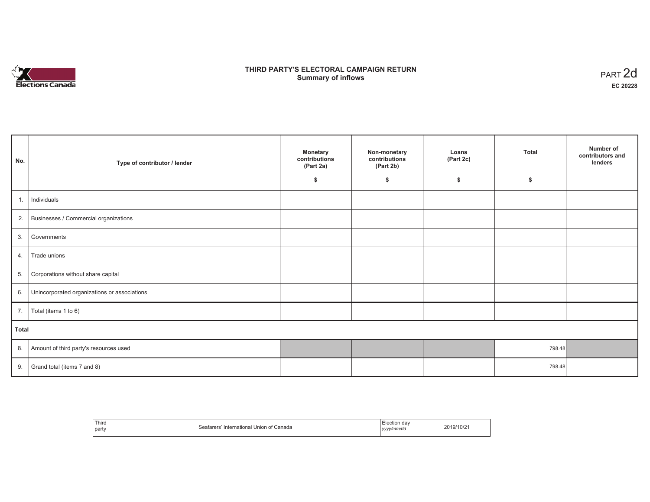

# **THIRD PARTY'S ELECTORAL CAMPAIGN RETURN S** ELECTORAL CAMPAIGN RETURN<br>Summary of inflows PART 2d

| No.   | Type of contributor / lender                 | <b>Monetary</b><br>contributions<br>(Part 2a) | Non-monetary<br>contributions<br>(Part 2b) | Loans<br>(Part 2c) | <b>Total</b> | Number of<br>contributors and<br>lenders |  |
|-------|----------------------------------------------|-----------------------------------------------|--------------------------------------------|--------------------|--------------|------------------------------------------|--|
|       |                                              | \$                                            | \$                                         | \$                 | \$           |                                          |  |
| 1.    | Individuals                                  |                                               |                                            |                    |              |                                          |  |
|       | 2. Businesses / Commercial organizations     |                                               |                                            |                    |              |                                          |  |
| 3.    | Governments                                  |                                               |                                            |                    |              |                                          |  |
| 4.    | Trade unions                                 |                                               |                                            |                    |              |                                          |  |
| 5.    | Corporations without share capital           |                                               |                                            |                    |              |                                          |  |
| 6.    | Unincorporated organizations or associations |                                               |                                            |                    |              |                                          |  |
| 7.    | Total (items 1 to 6)                         |                                               |                                            |                    |              |                                          |  |
| Total |                                              |                                               |                                            |                    |              |                                          |  |
| 8.    | Amount of third party's resources used       |                                               |                                            |                    | 798.48       |                                          |  |
| 9.    | Grand total (items 7 and 8)                  |                                               |                                            |                    | 798.48       |                                          |  |

| Third<br>Canada<br>International<br>οt<br>party<br>. | . da<br>vv/mm/da<br>10000<br>,,,, | $10\ell$ |
|------------------------------------------------------|-----------------------------------|----------|
|------------------------------------------------------|-----------------------------------|----------|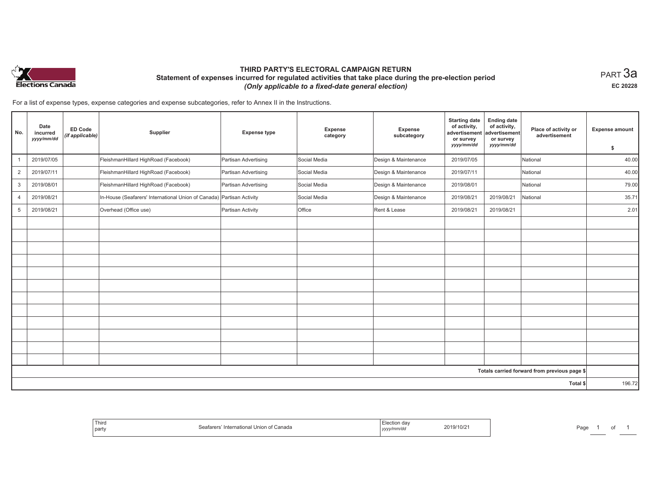

## **THIRD PARTY'S ELECTORAL CAMPAIGN RETURN Statement of expenses incurred for regulated activities that take place during the pre-election period**  *(Only applicable to a fixed-date general election)*

 $_{\sf PART}$ 3a **EC 20228**

For a list of expense types, expense categories and expense subcategories, refer to Annex II in the Instructions.

| No.            | Date<br>incurred<br>yyyy/mm/dd | <b>ED Code</b><br>(if applicable) | Supplier                                                              | <b>Expense type</b>  | <b>Expense</b><br>category | <b>Expense</b><br>subcategory | <b>Starting date</b><br>of activity,<br>advertisement<br>or survey<br>yyyy/mm/dd | <b>Ending date</b><br>of activity,<br>advertisement<br>or survey<br>yyyy/mm/dd | Place of activity or<br>advertisement        | <b>Expense amount</b><br>\$ |
|----------------|--------------------------------|-----------------------------------|-----------------------------------------------------------------------|----------------------|----------------------------|-------------------------------|----------------------------------------------------------------------------------|--------------------------------------------------------------------------------|----------------------------------------------|-----------------------------|
| $\mathbf{1}$   | 2019/07/05                     |                                   | FleishmanHillard HighRoad (Facebook)                                  | Partisan Advertising | Social Media               | Design & Maintenance          | 2019/07/05                                                                       |                                                                                | National                                     | 40.00                       |
| $\overline{2}$ | 2019/07/11                     |                                   | FleishmanHillard HighRoad (Facebook)                                  | Partisan Advertising | Social Media               | Design & Maintenance          | 2019/07/11                                                                       |                                                                                | National                                     | 40.00                       |
| 3              | 2019/08/01                     |                                   | FleishmanHillard HighRoad (Facebook)                                  | Partisan Advertising | Social Media               | Design & Maintenance          | 2019/08/01                                                                       |                                                                                | National                                     | 79.00                       |
| $\overline{4}$ | 2019/08/21                     |                                   | In-House (Seafarers' International Union of Canada) Partisan Activity |                      | Social Media               | Design & Maintenance          | 2019/08/21                                                                       | 2019/08/21                                                                     | National                                     | 35.71                       |
| 5              | 2019/08/21                     |                                   | Overhead (Office use)                                                 | Partisan Activity    | Office                     | Rent & Lease                  | 2019/08/21                                                                       | 2019/08/21                                                                     |                                              | 2.01                        |
|                |                                |                                   |                                                                       |                      |                            |                               |                                                                                  |                                                                                |                                              |                             |
|                |                                |                                   |                                                                       |                      |                            |                               |                                                                                  |                                                                                |                                              |                             |
|                |                                |                                   |                                                                       |                      |                            |                               |                                                                                  |                                                                                |                                              |                             |
|                |                                |                                   |                                                                       |                      |                            |                               |                                                                                  |                                                                                |                                              |                             |
|                |                                |                                   |                                                                       |                      |                            |                               |                                                                                  |                                                                                |                                              |                             |
|                |                                |                                   |                                                                       |                      |                            |                               |                                                                                  |                                                                                |                                              |                             |
|                |                                |                                   |                                                                       |                      |                            |                               |                                                                                  |                                                                                |                                              |                             |
|                |                                |                                   |                                                                       |                      |                            |                               |                                                                                  |                                                                                |                                              |                             |
|                |                                |                                   |                                                                       |                      |                            |                               |                                                                                  |                                                                                |                                              |                             |
|                |                                |                                   |                                                                       |                      |                            |                               |                                                                                  |                                                                                |                                              |                             |
|                |                                |                                   |                                                                       |                      |                            |                               |                                                                                  |                                                                                |                                              |                             |
|                |                                |                                   |                                                                       |                      |                            |                               |                                                                                  |                                                                                |                                              |                             |
|                |                                |                                   |                                                                       |                      |                            |                               |                                                                                  |                                                                                | Totals carried forward from previous page \$ |                             |
| Total \$       |                                |                                   |                                                                       |                      |                            |                               |                                                                                  |                                                                                |                                              | 196.72                      |

| Third<br>` ⊓nion of Canada<br>'ntornational L<br>party | 2019/10/2<br>үууу. | Pag |
|--------------------------------------------------------|--------------------|-----|
|--------------------------------------------------------|--------------------|-----|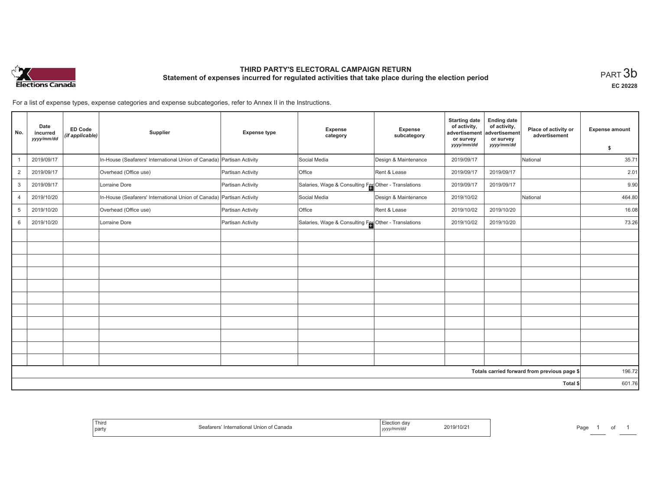

# **THIRD PARTY'S ELECTORAL CAMPAIGN RETURN Statement of expenses incurred for regulated activities that take place during the election period**<br>PART  $3\mathsf{b}$

**EC 20228**

of 1

For a list of expense types, expense categories and expense subcategories, refer to Annex II in the Instructions.

| No.            | Date<br>incurred<br>yyyy/mm/dd | <b>ED Code</b><br>(if applicable) | Supplier                                                              | <b>Expense type</b> | Expense<br>category                                  | <b>Expense</b><br>subcategory | <b>Starting date</b><br>of activity,<br>advertisement<br>or survey | <b>Ending date</b><br>of activity,<br>advertisement<br>or survey | Place of activity or<br>advertisement        | <b>Expense amount</b> |
|----------------|--------------------------------|-----------------------------------|-----------------------------------------------------------------------|---------------------|------------------------------------------------------|-------------------------------|--------------------------------------------------------------------|------------------------------------------------------------------|----------------------------------------------|-----------------------|
|                |                                |                                   |                                                                       |                     |                                                      |                               | yyyy/mm/dd                                                         | yyyy/mm/dd                                                       |                                              | \$                    |
|                | 2019/09/17                     |                                   | In-House (Seafarers' International Union of Canada)                   | Partisan Activity   | Social Media                                         | Design & Maintenance          | 2019/09/17                                                         |                                                                  | National                                     | 35.71                 |
| $\overline{2}$ | 2019/09/17                     |                                   | Overhead (Office use)                                                 | Partisan Activity   | Office                                               | Rent & Lease                  | 2019/09/17                                                         | 2019/09/17                                                       |                                              | 2.01                  |
| 3              | 2019/09/17                     |                                   | Lorraine Dore                                                         | Partisan Activity   | Salaries, Wage & Consulting Fee Other - Translations |                               | 2019/09/17                                                         | 2019/09/17                                                       |                                              | 9.90                  |
| 4              | 2019/10/20                     |                                   | In-House (Seafarers' International Union of Canada) Partisan Activity |                     | Social Media                                         | Design & Maintenance          | 2019/10/02                                                         |                                                                  | National                                     | 464.80                |
| 5              | 2019/10/20                     |                                   | Overhead (Office use)                                                 | Partisan Activity   | Office                                               | Rent & Lease                  | 2019/10/02                                                         | 2019/10/20                                                       |                                              | 16.08                 |
| 6              | 2019/10/20                     |                                   | Lorraine Dore                                                         | Partisan Activity   | Salaries, Wage & Consulting Fee Other - Translations |                               | 2019/10/02                                                         | 2019/10/20                                                       |                                              | 73.26                 |
|                |                                |                                   |                                                                       |                     |                                                      |                               |                                                                    |                                                                  |                                              |                       |
|                |                                |                                   |                                                                       |                     |                                                      |                               |                                                                    |                                                                  |                                              |                       |
|                |                                |                                   |                                                                       |                     |                                                      |                               |                                                                    |                                                                  |                                              |                       |
|                |                                |                                   |                                                                       |                     |                                                      |                               |                                                                    |                                                                  |                                              |                       |
|                |                                |                                   |                                                                       |                     |                                                      |                               |                                                                    |                                                                  |                                              |                       |
|                |                                |                                   |                                                                       |                     |                                                      |                               |                                                                    |                                                                  |                                              |                       |
|                |                                |                                   |                                                                       |                     |                                                      |                               |                                                                    |                                                                  |                                              |                       |
|                |                                |                                   |                                                                       |                     |                                                      |                               |                                                                    |                                                                  |                                              |                       |
|                |                                |                                   |                                                                       |                     |                                                      |                               |                                                                    |                                                                  |                                              |                       |
|                |                                |                                   |                                                                       |                     |                                                      |                               |                                                                    |                                                                  |                                              |                       |
|                |                                |                                   |                                                                       |                     |                                                      |                               |                                                                    |                                                                  |                                              |                       |
|                |                                |                                   |                                                                       |                     |                                                      |                               |                                                                    |                                                                  | Totals carried forward from previous page \$ | 196.72                |
|                |                                |                                   |                                                                       |                     |                                                      |                               |                                                                    |                                                                  | Total \$                                     | 601.76                |

| Third<br>party | International<br>Union<br>. canada<br>11 K ) I 12 I<br>117.17<br>. | 2019/10/2<br>,,,, | ⊃aαe |
|----------------|--------------------------------------------------------------------|-------------------|------|
|----------------|--------------------------------------------------------------------|-------------------|------|